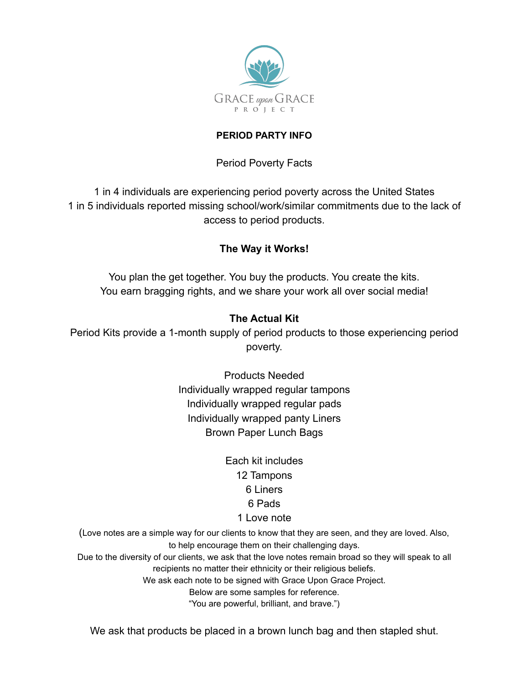

#### **PERIOD PARTY INFO**

## Period Poverty Facts

1 in 4 individuals are experiencing period poverty across the United States 1 in 5 individuals reported missing school/work/similar commitments due to the lack of access to period products.

# **The Way it Works!**

You plan the get together. You buy the products. You create the kits. You earn bragging rights, and we share your work all over social media!

# **The Actual Kit**

Period Kits provide a 1-month supply of period products to those experiencing period poverty.

> Products Needed Individually wrapped regular tampons Individually wrapped regular pads Individually wrapped panty Liners Brown Paper Lunch Bags

> > Each kit includes 12 Tampons 6 Liners 6 Pads 1 Love note

(Love notes are a simple way for our clients to know that they are seen, and they are loved. Also, to help encourage them on their challenging days.

Due to the diversity of our clients, we ask that the love notes remain broad so they will speak to all recipients no matter their ethnicity or their religious beliefs.

We ask each note to be signed with Grace Upon Grace Project.

Below are some samples for reference.

"You are powerful, brilliant, and brave.")

We ask that products be placed in a brown lunch bag and then stapled shut.